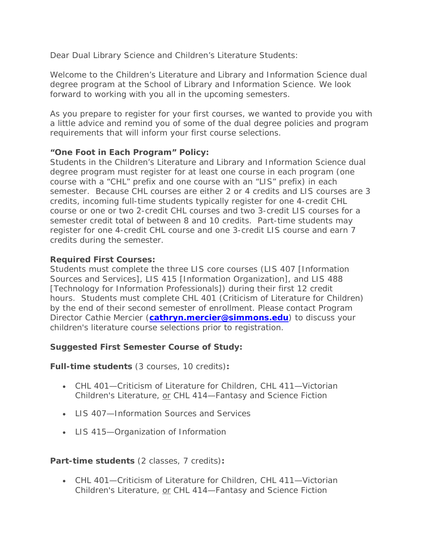Dear Dual Library Science and Children's Literature Students:

Welcome to the Children's Literature and Library and Information Science dual degree program at the School of Library and Information Science. We look forward to working with you all in the upcoming semesters.

As you prepare to register for your first courses, we wanted to provide you with a little advice and remind you of some of the dual degree policies and program requirements that will inform your first course selections.

# **"One Foot in Each Program" Policy:**

Students in the Children's Literature and Library and Information Science dual degree program must register for at least one course in each program (one course with a "CHL" prefix and one course with an "LIS" prefix) in each semester. Because CHL courses are either 2 or 4 credits and LIS courses are 3 credits, incoming full-time students typically register for one 4-credit CHL course or one or two 2-credit CHL courses and two 3-credit LIS courses for a semester credit total of between 8 and 10 credits. Part-time students may register for one 4-credit CHL course and one 3-credit LIS course and earn 7 credits during the semester.

# **Required First Courses:**

Students must complete the three LIS core courses (LIS 407 [Information Sources and Services], LIS 415 [Information Organization], and LIS 488 [Technology for Information Professionals]) during their first 12 credit hours. Students must complete CHL 401 (Criticism of Literature for Children) by the end of their second semester of enrollment. Please contact Program Director Cathie Mercier (**[cathryn.mercier@simmons.edu](mailto:cathryn.mercier@simmons.edu)**) to discuss your children's literature course selections prior to registration.

# *Suggested First Semester Course of Study:*

**Full-time students** (*3 courses, 10 credits)***:**

- CHL 401—Criticism of Literature for Children, CHL 411—Victorian Children's Literature, or CHL 414-Fantasy and Science Fiction
- **LIS 407—Information Sources and Services**
- LIS 415—Organization of Information

# **Part-time students** *(2 classes, 7 credits)***:**

• CHL 401—Criticism of Literature for Children, CHL 411—Victorian Children's Literature, or CHL 414—Fantasy and Science Fiction